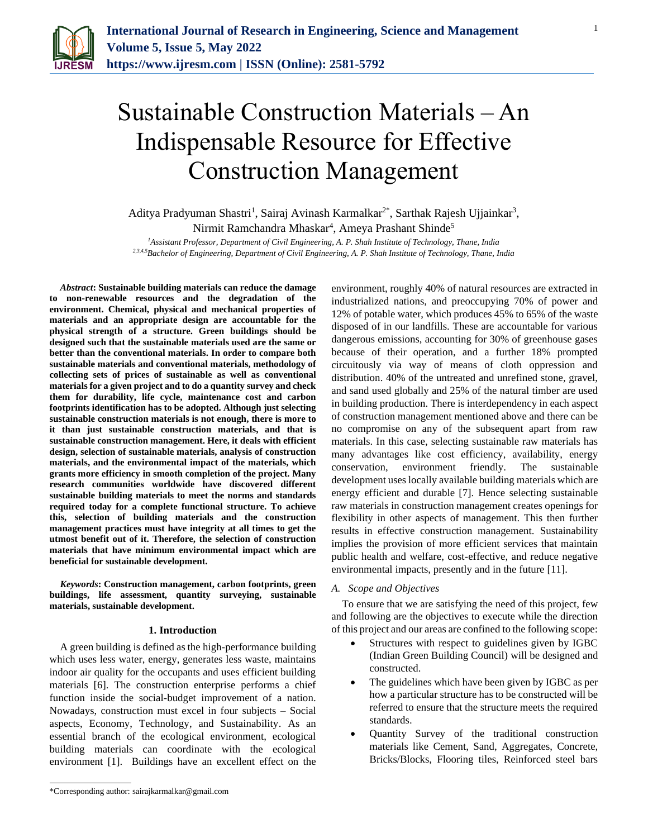

# Sustainable Construction Materials – An Indispensable Resource for Effective Construction Management

Aditya Pradyuman Shastri<sup>1</sup>, Sairaj Avinash Karmalkar<sup>2\*</sup>, Sarthak Rajesh Ujjainkar<sup>3</sup>, Nirmit Ramchandra Mhaskar<sup>4</sup>, Ameya Prashant Shinde<sup>5</sup>

*<sup>1</sup>Assistant Professor, Department of Civil Engineering, A. P. Shah Institute of Technology, Thane, India 2,3,4,5Bachelor of Engineering, Department of Civil Engineering, A. P. Shah Institute of Technology, Thane, India*

*Abstract***: Sustainable building materials can reduce the damage to non-renewable resources and the degradation of the environment. Chemical, physical and mechanical properties of materials and an appropriate design are accountable for the physical strength of a structure. Green buildings should be designed such that the sustainable materials used are the same or better than the conventional materials. In order to compare both sustainable materials and conventional materials, methodology of collecting sets of prices of sustainable as well as conventional materials for a given project and to do a quantity survey and check them for durability, life cycle, maintenance cost and carbon footprints identification has to be adopted. Although just selecting sustainable construction materials is not enough, there is more to it than just sustainable construction materials, and that is sustainable construction management. Here, it deals with efficient design, selection of sustainable materials, analysis of construction materials, and the environmental impact of the materials, which grants more efficiency in smooth completion of the project. Many research communities worldwide have discovered different sustainable building materials to meet the norms and standards required today for a complete functional structure. To achieve this, selection of building materials and the construction management practices must have integrity at all times to get the utmost benefit out of it. Therefore, the selection of construction materials that have minimum environmental impact which are beneficial for sustainable development.**

*Keywords***: Construction management, carbon footprints, green buildings, life assessment, quantity surveying, sustainable materials, sustainable development.**

#### **1. Introduction**

A green building is defined as the high-performance building which uses less water, energy, generates less waste, maintains indoor air quality for the occupants and uses efficient building materials [6]. The construction enterprise performs a chief function inside the social-budget improvement of a nation. Nowadays, construction must excel in four subjects – Social aspects, Economy, Technology, and Sustainability. As an essential branch of the ecological environment, ecological building materials can coordinate with the ecological environment [1]. Buildings have an excellent effect on the environment, roughly 40% of natural resources are extracted in industrialized nations, and preoccupying 70% of power and 12% of potable water, which produces 45% to 65% of the waste disposed of in our landfills. These are accountable for various dangerous emissions, accounting for 30% of greenhouse gases because of their operation, and a further 18% prompted circuitously via way of means of cloth oppression and distribution. 40% of the untreated and unrefined stone, gravel, and sand used globally and 25% of the natural timber are used in building production. There is interdependency in each aspect of construction management mentioned above and there can be no compromise on any of the subsequent apart from raw materials. In this case, selecting sustainable raw materials has many advantages like cost efficiency, availability, energy conservation, environment friendly. The sustainable development uses locally available building materials which are energy efficient and durable [7]. Hence selecting sustainable raw materials in construction management creates openings for flexibility in other aspects of management. This then further results in effective construction management. Sustainability implies the provision of more efficient services that maintain public health and welfare, cost-effective, and reduce negative environmental impacts, presently and in the future [11].

#### *A. Scope and Objectives*

To ensure that we are satisfying the need of this project, few and following are the objectives to execute while the direction of this project and our areas are confined to the following scope:

- Structures with respect to guidelines given by IGBC (Indian Green Building Council) will be designed and constructed.
- The guidelines which have been given by IGBC as per how a particular structure has to be constructed will be referred to ensure that the structure meets the required standards.
- Quantity Survey of the traditional construction materials like Cement, Sand, Aggregates, Concrete, Bricks/Blocks, Flooring tiles, Reinforced steel bars

<sup>\*</sup>Corresponding author: sairajkarmalkar@gmail.com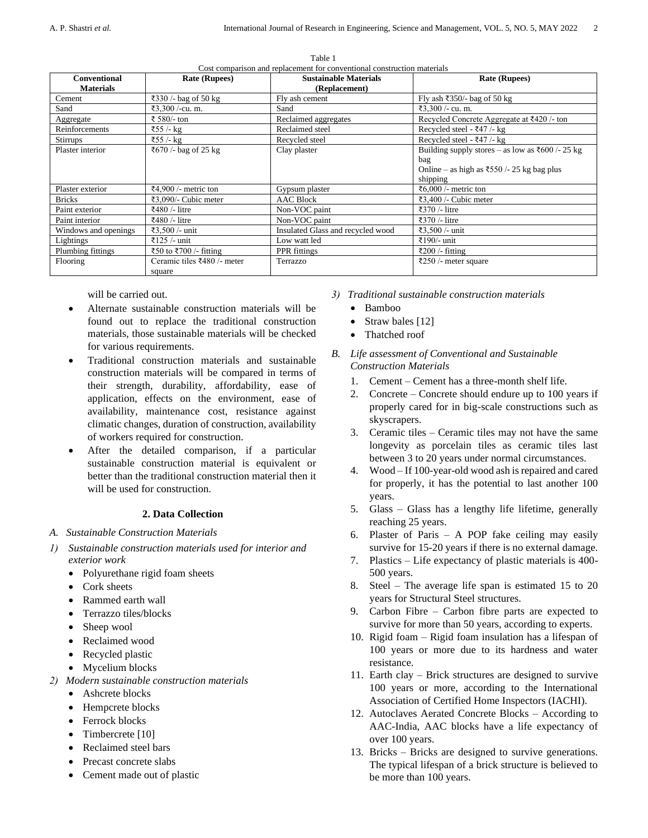| <b>Conventional</b>  | <b>Rate (Rupees)</b>        | Cost comparison and replacement for conventional construction materials<br><b>Sustainable Materials</b> | <b>Rate (Rupees)</b>                             |
|----------------------|-----------------------------|---------------------------------------------------------------------------------------------------------|--------------------------------------------------|
| <b>Materials</b>     |                             | (Replacement)                                                                                           |                                                  |
| Cement               | ₹330 /- bag of 50 kg        | Fly ash cement                                                                                          | Fly ash ₹350/- bag of 50 kg                      |
| Sand                 | ₹3,300 /-cu. m.             | Sand                                                                                                    | ₹3,300 /- cu. m.                                 |
| Aggregate            | ₹ 580/- ton                 | Reclaimed aggregates                                                                                    | Recycled Concrete Aggregate at ₹420 /- ton       |
| Reinforcements       | ₹55 /- kg                   | Reclaimed steel                                                                                         | Recycled steel - ₹47 /- kg                       |
| <b>Stirrups</b>      | ₹55 /- kg                   | Recycled steel                                                                                          | Recycled steel - ₹47 /- kg                       |
| Plaster interior     | ₹670 /- bag of 25 kg        | Clay plaster                                                                                            | Building supply stores – as low as ₹600 /- 25 kg |
|                      |                             |                                                                                                         | bag                                              |
|                      |                             |                                                                                                         | Online – as high as ₹550 /- 25 kg bag plus       |
|                      |                             |                                                                                                         | shipping                                         |
| Plaster exterior     | ₹4,900 /- metric ton        | Gypsum plaster                                                                                          | ₹6,000 /- metric ton                             |
| <b>Bricks</b>        | ₹3,090/- Cubic meter        | <b>AAC Block</b>                                                                                        | ₹3,400 /- Cubic meter                            |
| Paint exterior       | ₹480 /- litre               | Non-VOC paint                                                                                           | ₹370 /- litre                                    |
| Paint interior       | ₹480 /- litre               | Non-VOC paint                                                                                           | ₹370 /- litre                                    |
| Windows and openings | ₹3,500 /- unit              | Insulated Glass and recycled wood                                                                       | ₹3,500 /- unit                                   |
| Lightings            | ₹125 /- unit                | Low watt led                                                                                            | ₹190/- unit                                      |
| Plumbing fittings    | ₹50 to ₹700 /- fitting      | PPR fittings                                                                                            | ₹200 /- fitting                                  |
| Flooring             | Ceramic tiles ₹480 /- meter | Terrazzo                                                                                                | ₹250 /- meter square                             |
|                      | square                      |                                                                                                         |                                                  |

Table 1 comparison and replacement for conventional construction materials

will be carried out.

- Alternate sustainable construction materials will be found out to replace the traditional construction materials, those sustainable materials will be checked for various requirements.
- Traditional construction materials and sustainable construction materials will be compared in terms of their strength, durability, affordability, ease of application, effects on the environment, ease of availability, maintenance cost, resistance against climatic changes, duration of construction, availability of workers required for construction.
- After the detailed comparison, if a particular sustainable construction material is equivalent or better than the traditional construction material then it will be used for construction.

# **2. Data Collection**

- *A. Sustainable Construction Materials*
- *1) Sustainable construction materials used for interior and exterior work*
	- Polyurethane rigid foam sheets
	- Cork sheets
	- Rammed earth wall
	- Terrazzo tiles/blocks
	- Sheep wool
	- Reclaimed wood
	- Recycled plastic
	- Mycelium blocks
- *2) Modern sustainable construction materials*
	- Ashcrete blocks
		- Hempcrete blocks
		- Ferrock blocks
		- Timbercrete [10]
		- Reclaimed steel bars
		- Precast concrete slabs
		- Cement made out of plastic
- *3) Traditional sustainable construction materials*
	- Bamboo
	- Straw bales [12]
	- Thatched roof
- *B. Life assessment of Conventional and Sustainable Construction Materials*
	- 1. Cement Cement has a three-month shelf life.
	- 2. Concrete Concrete should endure up to 100 years if properly cared for in big-scale constructions such as skyscrapers.
	- 3. Ceramic tiles Ceramic tiles may not have the same longevity as porcelain tiles as ceramic tiles last between 3 to 20 years under normal circumstances.
	- 4. Wood If 100-year-old wood ash is repaired and cared for properly, it has the potential to last another 100 years.
	- 5. Glass Glass has a lengthy life lifetime, generally reaching 25 years.
	- 6. Plaster of Paris A POP fake ceiling may easily survive for 15-20 years if there is no external damage.
	- 7. Plastics Life expectancy of plastic materials is 400- 500 years.
	- 8. Steel The average life span is estimated 15 to 20 years for Structural Steel structures.
	- 9. Carbon Fibre Carbon fibre parts are expected to survive for more than 50 years, according to experts.
	- 10. Rigid foam Rigid foam insulation has a lifespan of 100 years or more due to its hardness and water resistance.
	- 11. Earth clay Brick structures are designed to survive 100 years or more, according to the International Association of Certified Home Inspectors (IACHI).
	- 12. Autoclaves Aerated Concrete Blocks According to AAC-India, AAC blocks have a life expectancy of over 100 years.
	- 13. Bricks Bricks are designed to survive generations. The typical lifespan of a brick structure is believed to be more than 100 years.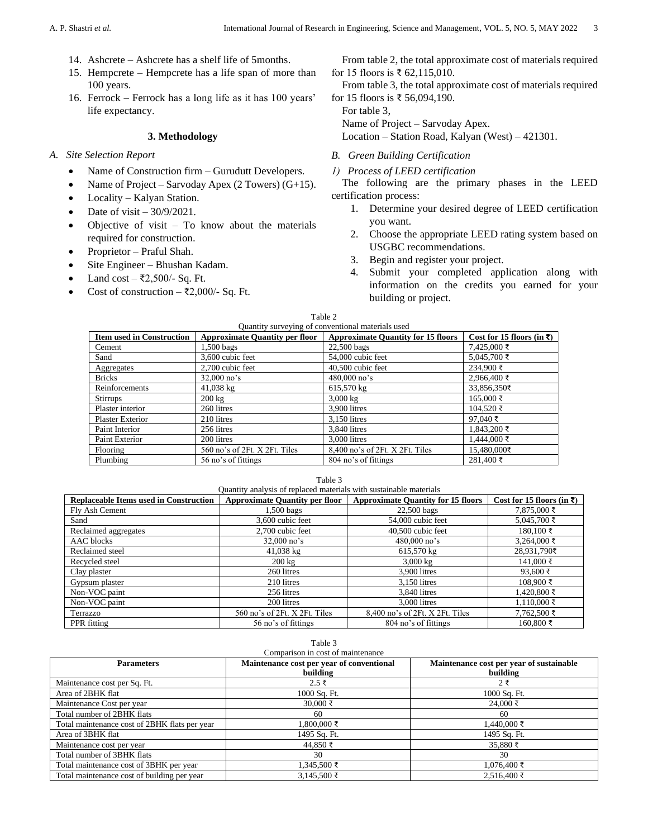- 14. Ashcrete Ashcrete has a shelf life of 5months.
- 15. Hempcrete Hempcrete has a life span of more than 100 years.
- 16. Ferrock Ferrock has a long life as it has 100 years' life expectancy.

### **3. Methodology**

- *A. Site Selection Report*
	- Name of Construction firm Gurudutt Developers.
	- Name of Project Sarvoday Apex  $(2 \text{ Towers}) (G+15)$ .
	- Locality Kalyan Station.
	- Date of visit 30/9/2021.
	- Objective of visit To know about the materials required for construction.
	- Proprietor Praful Shah.
	- Site Engineer Bhushan Kadam.
	- Land cost ₹2,500/- Sq. Ft.
	- Cost of construction ₹2,000/- Sq. Ft.

From table 2, the total approximate cost of materials required for 15 floors is ₹ 62,115,010.

From table 3, the total approximate cost of materials required for 15 floors is ₹ 56,094,190.

For table 3, Name of Project – Sarvoday Apex.

Location – Station Road, Kalyan (West) – 421301.

*B. Green Building Certification*

*1) Process of LEED certification*

The following are the primary phases in the LEED certification process:

- 1. Determine your desired degree of LEED certification you want.
- 2. Choose the appropriate LEED rating system based on USGBC recommendations.
- 3. Begin and register your project.
- 4. Submit your completed application along with information on the credits you earned for your building or project.

| Table 2                                           |                                       |                                           |                                       |  |
|---------------------------------------------------|---------------------------------------|-------------------------------------------|---------------------------------------|--|
| Quantity surveying of conventional materials used |                                       |                                           |                                       |  |
| <b>Item used in Construction</b>                  | <b>Approximate Quantity per floor</b> | <b>Approximate Quantity for 15 floors</b> | Cost for 15 floors (in $\bar{\tau}$ ) |  |
| Cement                                            | $1,500$ bags                          | 22,500 bags                               | $7.425,000$ ₹                         |  |
| Sand                                              | 3,600 cubic feet                      | 54,000 cubic feet                         | 5.045.700 ₹                           |  |
| Aggregates                                        | 2.700 cubic feet                      | 40,500 cubic feet                         | $234.900$ ₹                           |  |
| <b>Bricks</b>                                     | $32,000$ no's                         | $480,000$ no's                            | 2,966,400 ₹                           |  |
| Reinforcements                                    | $41,038 \text{ kg}$                   | 615,570 kg                                | 33,856,350₹                           |  |
| Stirrups                                          | $200 \text{ kg}$                      | $3,000 \text{ kg}$                        | 165,000 ₹                             |  |
| Plaster interior                                  | 260 litres                            | 3.900 litres                              | 104.520 ₹                             |  |
| <b>Plaster Exterior</b>                           | 210 litres                            | 3.150 litres                              | $97.040 \;$ ₹                         |  |
| Paint Interior                                    | 256 litres                            | 3.840 litres                              | 1,843,200 ₹                           |  |
| Paint Exterior                                    | 200 litres                            | 3.000 litres                              | $1.444.000 \; ₹$                      |  |
| Flooring                                          | 560 no's of 2Ft. X 2Ft. Tiles         | 8,400 no's of 2Ft. X 2Ft. Tiles           | 15,480,000₹                           |  |
| Plumbing                                          | 56 no's of fittings                   | 804 no's of fittings                      | $281.400$ ₹                           |  |

#### Table 3

| <b>Replaceable Items used in Construction</b> | <b>Approximate Quantity per floor</b> | <b>Approximate Quantity for 15 floors</b> | Cost for 15 floors (in $\bar{x}$ ) |
|-----------------------------------------------|---------------------------------------|-------------------------------------------|------------------------------------|
| Fly Ash Cement                                | 1,500 bags                            | 22,500 bags                               | $7,875,000$ ₹                      |
| Sand                                          | 3,600 cubic feet                      | 54,000 cubic feet                         | 5,045,700 ₹                        |
| Reclaimed aggregates                          | 2,700 cubic feet                      | 40,500 cubic feet                         | $180,100$ ₹                        |
| <b>AAC</b> blocks                             | $32,000$ no's                         | $480,000$ no's                            | $3,264,000$ ₹                      |
| Reclaimed steel                               | $41,038 \text{ kg}$                   | 615,570 kg                                | 28,931,790₹                        |
| Recycled steel                                | $200 \text{ kg}$                      | $3,000 \text{ kg}$                        | $141,000$ ₹                        |
| Clay plaster                                  | 260 litres                            | 3,900 litres                              | 93,600 ₹                           |
| Gypsum plaster                                | 210 litres                            | 3,150 litres                              | $108,900$ ₹                        |
| Non-VOC paint                                 | 256 litres                            | 3.840 litres                              | $1,420,800$ ₹                      |
| Non-VOC paint                                 | 200 litres                            | 3,000 litres                              | $1,110,000$ ₹                      |
| Terrazzo                                      | 560 no's of 2Ft. X 2Ft. Tiles         | 8,400 no's of 2Ft. X 2Ft. Tiles           | $7,762,500$ ₹                      |
| PPR fitting                                   | 56 no's of fittings                   | 804 no's of fittings                      | 160,800 ₹                          |

| Table 3<br>Comparison in cost of maintenance  |                                                       |                                                      |  |
|-----------------------------------------------|-------------------------------------------------------|------------------------------------------------------|--|
| <b>Parameters</b>                             | Maintenance cost per year of conventional<br>building | Maintenance cost per year of sustainable<br>building |  |
| Maintenance cost per Sq. Ft.                  | $2.5 \xi$                                             | $2$ ₹                                                |  |
| Area of 2BHK flat                             | 1000 Sq. Ft.                                          | 1000 Sq. Ft.                                         |  |
| Maintenance Cost per year                     | 30,000 ₹                                              | $24,000$ ₹                                           |  |
| Total number of 2BHK flats                    | 60                                                    | 60                                                   |  |
| Total maintenance cost of 2BHK flats per year | 1.800.000 ₹                                           | $1,440,000$ ₹                                        |  |
| Area of 3BHK flat                             | 1495 Sq. Ft.                                          | 1495 Sq. Ft.                                         |  |
| Maintenance cost per year                     | $44.850$ ₹                                            | 35,880 ₹                                             |  |
| Total number of 3BHK flats                    | 30                                                    | 30                                                   |  |
| Total maintenance cost of 3BHK per year       | 1,345,500 ₹                                           | $1,076,400$ ₹                                        |  |
| Total maintenance cost of building per year   | 3,145,500 ₹                                           | $2.516,400$ ₹                                        |  |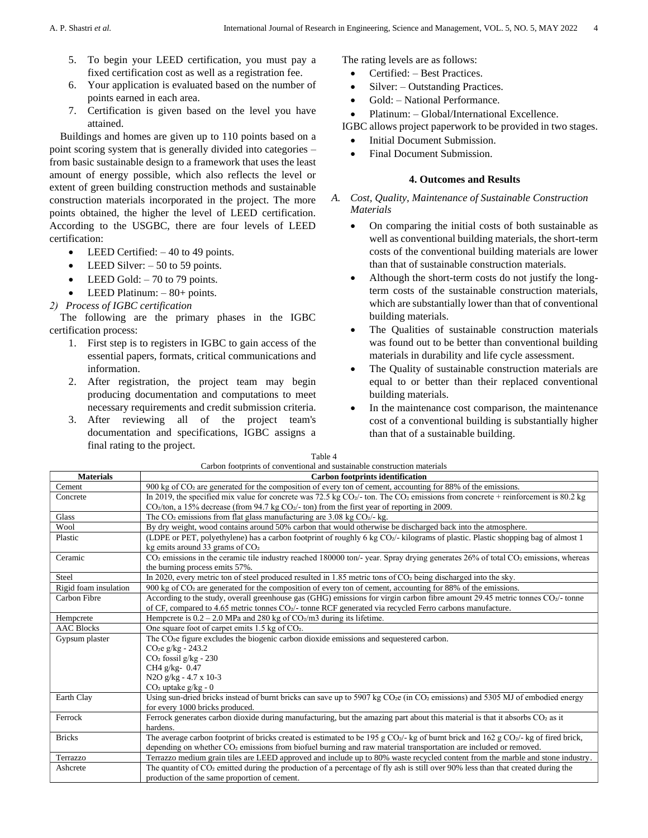- 5. To begin your LEED certification, you must pay a fixed certification cost as well as a registration fee.
- 6. Your application is evaluated based on the number of points earned in each area.
- 7. Certification is given based on the level you have attained.

Buildings and homes are given up to 110 points based on a point scoring system that is generally divided into categories – from basic sustainable design to a framework that uses the least amount of energy possible, which also reflects the level or extent of green building construction methods and sustainable construction materials incorporated in the project. The more points obtained, the higher the level of LEED certification. According to the USGBC, there are four levels of LEED certification:

- LEED Certified:  $-40$  to 49 points.
- LEED Silver:  $-50$  to 59 points.
- LEED Gold:  $-70$  to 79 points.
- LEED Platinum:  $-80+$  points.

## *2) Process of IGBC certification*

The following are the primary phases in the IGBC certification process:

- 1. First step is to registers in IGBC to gain access of the essential papers, formats, critical communications and information.
- 2. After registration, the project team may begin producing documentation and computations to meet necessary requirements and credit submission criteria.
- 3. After reviewing all of the project team's documentation and specifications, IGBC assigns a final rating to the project.  $T = 1$

The rating levels are as follows:

- Certified: Best Practices.
- Silver: Outstanding Practices.
- Gold: National Performance.
- Platinum: Global/International Excellence.

IGBC allows project paperwork to be provided in two stages.

- Initial Document Submission.
- Final Document Submission.

## **4. Outcomes and Results**

- *A. Cost, Quality, Maintenance of Sustainable Construction Materials*
	- On comparing the initial costs of both sustainable as well as conventional building materials, the short-term costs of the conventional building materials are lower than that of sustainable construction materials.
	- Although the short-term costs do not justify the longterm costs of the sustainable construction materials, which are substantially lower than that of conventional building materials.
	- The Qualities of sustainable construction materials was found out to be better than conventional building materials in durability and life cycle assessment.
	- The Quality of sustainable construction materials are equal to or better than their replaced conventional building materials.
	- In the maintenance cost comparison, the maintenance cost of a conventional building is substantially higher than that of a sustainable building.

| Carbon footprints of conventional and sustainable construction materials |                                                                                                                                                                                                                                                                    |  |  |
|--------------------------------------------------------------------------|--------------------------------------------------------------------------------------------------------------------------------------------------------------------------------------------------------------------------------------------------------------------|--|--|
| <b>Materials</b>                                                         | <b>Carbon footprints identification</b>                                                                                                                                                                                                                            |  |  |
| Cement                                                                   | 900 kg of CO <sub>2</sub> are generated for the composition of every ton of cement, accounting for 88% of the emissions.                                                                                                                                           |  |  |
| Concrete                                                                 | In 2019, the specified mix value for concrete was 72.5 kg $CO2$ ton. The $CO2$ emissions from concrete + reinforcement is 80.2 kg<br>$CO2/ton$ , a 15% decrease (from 94.7 kg $CO2/-ton$ ) from the first year of reporting in 2009.                               |  |  |
| Glass                                                                    | The $CO2$ emissions from flat glass manufacturing are 3.08 kg $CO2$ - kg.                                                                                                                                                                                          |  |  |
| Wool                                                                     | By dry weight, wood contains around 50% carbon that would otherwise be discharged back into the atmosphere.                                                                                                                                                        |  |  |
| Plastic                                                                  | (LDPE or PET, polyethylene) has a carbon footprint of roughly 6 kg CO2/- kilograms of plastic. Plastic shopping bag of almost 1<br>kg emits around 33 grams of $CO2$                                                                                               |  |  |
| Ceramic                                                                  | CO <sub>2</sub> emissions in the ceramic tile industry reached 180000 ton/- year. Spray drying generates 26% of total CO <sub>2</sub> emissions, whereas<br>the burning process emits 57%.                                                                         |  |  |
| Steel                                                                    | In 2020, every metric ton of steel produced resulted in 1.85 metric tons of CO <sub>2</sub> being discharged into the sky.                                                                                                                                         |  |  |
| Rigid foam insulation                                                    | 900 kg of $CO2$ are generated for the composition of every ton of cement, accounting for 88% of the emissions.                                                                                                                                                     |  |  |
| Carbon Fibre                                                             | According to the study, overall greenhouse gas (GHG) emissions for virgin carbon fibre amount 29.45 metric tonnes CO2/- tonne<br>of CF, compared to 4.65 metric tonnes $CO2$ tonne RCF generated via recycled Ferro carbons manufacture.                           |  |  |
| Hempcrete                                                                | Hempcrete is $0.2 - 2.0$ MPa and 280 kg of CO <sub>2</sub> /m3 during its lifetime.                                                                                                                                                                                |  |  |
| <b>AAC Blocks</b>                                                        | One square foot of carpet emits $1.5$ kg of CO <sub>2</sub> .                                                                                                                                                                                                      |  |  |
| Gypsum plaster                                                           | The CO <sub>2</sub> figure excludes the biogenic carbon dioxide emissions and sequestered carbon.                                                                                                                                                                  |  |  |
|                                                                          | $CO2e g/kg - 243.2$                                                                                                                                                                                                                                                |  |  |
|                                                                          | CO <sub>2</sub> fossil g/kg - 230                                                                                                                                                                                                                                  |  |  |
|                                                                          | CH4 g/kg-0.47                                                                                                                                                                                                                                                      |  |  |
|                                                                          | N2O $g/kg - 4.7 x 10-3$                                                                                                                                                                                                                                            |  |  |
|                                                                          | CO <sub>2</sub> uptake g/kg - 0                                                                                                                                                                                                                                    |  |  |
| Earth Clay                                                               | Using sun-dried bricks instead of burnt bricks can save up to 5907 kg CO <sub>2</sub> e (in CO <sub>2</sub> emissions) and 5305 MJ of embodied energy<br>for every 1000 bricks produced.                                                                           |  |  |
| Ferrock                                                                  | Ferrock generates carbon dioxide during manufacturing, but the amazing part about this material is that it absorbs CO <sub>2</sub> as it<br>hardens.                                                                                                               |  |  |
| <b>Bricks</b>                                                            | The average carbon footprint of bricks created is estimated to be 195 g CO2/- kg of burnt brick and 162 g CO2/- kg of fired brick,<br>depending on whether CO <sub>2</sub> emissions from biofuel burning and raw material transportation are included or removed. |  |  |
| Terrazzo                                                                 | Terrazzo medium grain tiles are LEED approved and include up to 80% waste recycled content from the marble and stone industry.                                                                                                                                     |  |  |
| Ashcrete                                                                 | The quantity of $CO2$ emitted during the production of a percentage of fly ash is still over 90% less than that created during the                                                                                                                                 |  |  |
|                                                                          | production of the same proportion of cement.                                                                                                                                                                                                                       |  |  |

| 1 apie 4                                                                |  |  |  |  |
|-------------------------------------------------------------------------|--|--|--|--|
| arbon footprints of conventional and sustainable construction materials |  |  |  |  |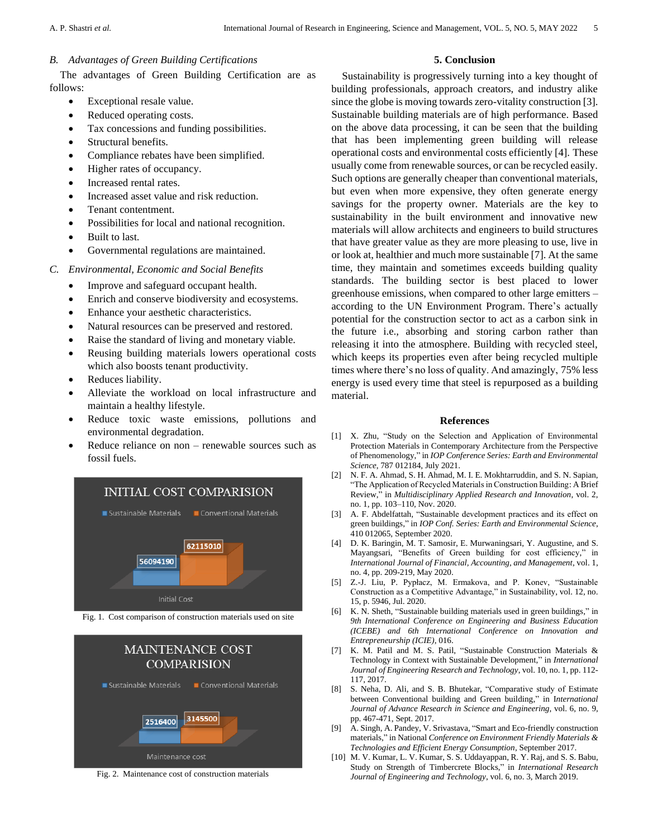## *B. Advantages of Green Building Certifications*

The advantages of Green Building Certification are as follows:

- Exceptional resale value.
- Reduced operating costs.
- Tax concessions and funding possibilities.
- Structural benefits.
- Compliance rebates have been simplified.
- Higher rates of occupancy.
- Increased rental rates.
- Increased asset value and risk reduction.
- Tenant contentment.
- Possibilities for local and national recognition.
- Built to last.
- Governmental regulations are maintained.
- *C. Environmental, Economic and Social Benefits*
	- Improve and safeguard occupant health.
	- Enrich and conserve biodiversity and ecosystems.
	- Enhance your aesthetic characteristics.
	- Natural resources can be preserved and restored.
	- Raise the standard of living and monetary viable.
	- Reusing building materials lowers operational costs which also boosts tenant productivity.
	- Reduces liability.
	- Alleviate the workload on local infrastructure and maintain a healthy lifestyle.
	- Reduce toxic waste emissions, pollutions and environmental degradation.
	- Reduce reliance on non renewable sources such as fossil fuels.



Fig. 1. Cost comparison of construction materials used on site



Fig. 2. Maintenance cost of construction materials

# **5. Conclusion**

Sustainability is progressively turning into a key thought of building professionals, approach creators, and industry alike since the globe is moving towards zero-vitality construction [3]. Sustainable building materials are of high performance. Based on the above data processing, it can be seen that the building that has been implementing green building will release operational costs and environmental costs efficiently [4]. These usually come from renewable sources, or can be recycled easily. Such options are generally cheaper than conventional materials, but even when more expensive, they often generate energy savings for the property owner. Materials are the key to sustainability in the built environment and innovative new materials will allow architects and engineers to build structures that have greater value as they are more pleasing to use, live in or look at, healthier and much more sustainable [7]. At the same time, they maintain and sometimes exceeds building quality standards. The building sector is best placed to lower greenhouse emissions, when compared to other large emitters – according to the UN Environment Program. There's actually potential for the construction sector to act as a carbon sink in the future i.e., absorbing and storing carbon rather than releasing it into the atmosphere. Building with recycled steel, which keeps its properties even after being recycled multiple times where there's no loss of quality. And amazingly, 75% less energy is used every time that steel is repurposed as a building material.

#### **References**

- [1] X. Zhu, "Study on the Selection and Application of Environmental Protection Materials in Contemporary Architecture from the Perspective of Phenomenology," in *IOP Conference Series: Earth and Environmental Science*, 787 012184, July 2021.
- [2] N. F. A. Ahmad, S. H. Ahmad, M. I. E. Mokhtarruddin, and S. N. Sapian, "The Application of Recycled Materials in Construction Building: A Brief Review," in *Multidisciplinary Applied Research and Innovation*, vol. 2, no. 1, pp. 103–110, Nov. 2020.
- [3] A. F. Abdelfattah, "Sustainable development practices and its effect on green buildings," in *IOP Conf. Series: Earth and Environmental Science*, 410 012065, September 2020.
- [4] D. K. Baringin, M. T. Samosir, E. Murwaningsari, Y. Augustine, and S. Mayangsari, "Benefits of Green building for cost efficiency," in *International Journal of Financial, Accounting, and Management*, vol. 1, no. 4, pp. 209-219, May 2020.
- [5] Z.-J. Liu, P. Pypłacz, M. Ermakova, and P. Konev, "Sustainable Construction as a Competitive Advantage," in Sustainability, vol. 12, no. 15, p. 5946, Jul. 2020.
- [6] K. N. Sheth, "Sustainable building materials used in green buildings," in *9th International Conference on Engineering and Business Education (ICEBE) and 6th International Conference on Innovation and Entrepreneurship (ICIE)*, 016.
- [7] K. M. Patil and M. S. Patil, "Sustainable Construction Materials & Technology in Context with Sustainable Development," in *International Journal of Engineering Research and Technology*, vol. 10, no. 1, pp. 112- 117, 2017.
- [8] S. Neha, D. Ali, and S. B. Bhutekar, "Comparative study of Estimate between Conventional building and Green building," in I*nternational Journal of Advance Research in Science and Engineering*, vol. 6, no. 9, pp. 467-471, Sept. 2017.
- [9] A. Singh, A. Pandey, V. Srivastava, "Smart and Eco-friendly construction materials," in National *Conference on Environment Friendly Materials & Technologies and Efficient Energy Consumption*, September 2017.
- [10] M. V. Kumar, L. V. Kumar, S. S. Uddayappan, R. Y. Raj, and S. S. Babu, Study on Strength of Timbercrete Blocks," in *International Research Journal of Engineering and Technology*, vol. 6, no. 3, March 2019.